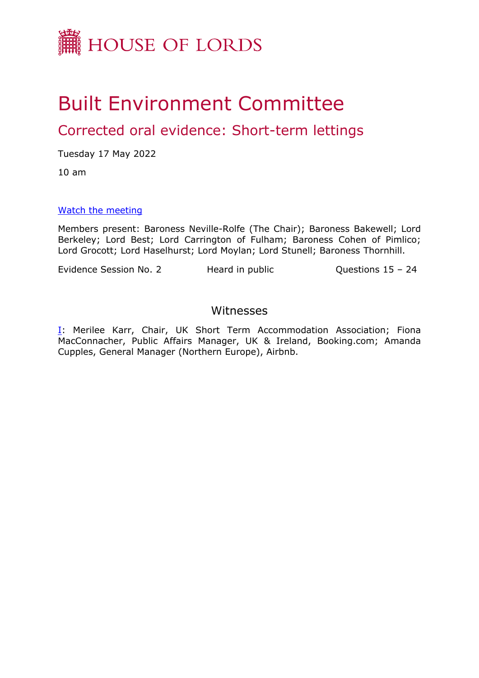

# Built Environment Committee

# Corrected oral evidence: Short-term lettings

Tuesday 17 May 2022

10 am

#### [Watch](https://parliamentlive.tv/event/index/990db1fd-0ea4-45cb-adf7-1e9892dd1852) [the](https://parliamentlive.tv/event/index/990db1fd-0ea4-45cb-adf7-1e9892dd1852) [meeting](https://parliamentlive.tv/event/index/990db1fd-0ea4-45cb-adf7-1e9892dd1852)

Members present: Baroness Neville-Rolfe (The Chair); Baroness Bakewell; Lord Berkeley; Lord Best; Lord Carrington of Fulham; Baroness Cohen of Pimlico; Lord Grocott; Lord Haselhurst; Lord Moylan; Lord Stunell; Baroness Thornhill.

Evidence Session No. 2 Heard in public Cuestions 15 – 24

### Witnesses

[I:](#page-1-0) Merilee Karr, Chair, UK Short Term Accommodation Association; Fiona MacConnacher, Public Affairs Manager, UK & Ireland, Booking.com; Amanda Cupples, General Manager (Northern Europe), Airbnb.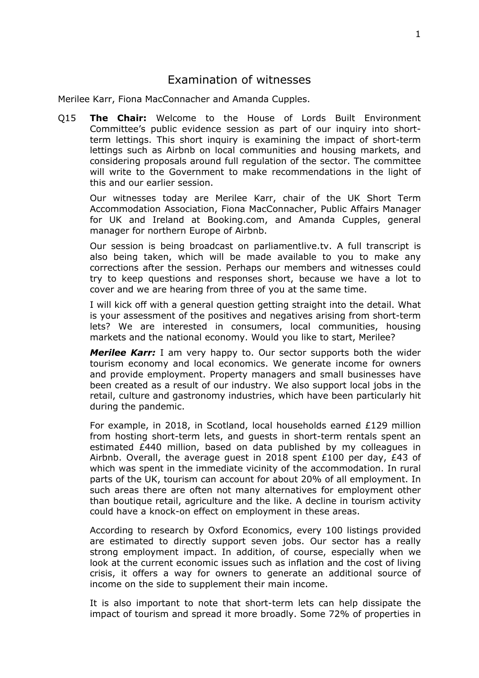## <span id="page-1-0"></span>Examination of witnesses

Merilee Karr, Fiona MacConnacher and Amanda Cupples.

Q15 **The Chair:** Welcome to the House of Lords Built Environment Committee's public evidence session as part of our inquiry into shortterm lettings. This short inquiry is examining the impact of short-term lettings such as Airbnb on local communities and housing markets, and considering proposals around full regulation of the sector. The committee will write to the Government to make recommendations in the light of this and our earlier session.

Our witnesses today are Merilee Karr, chair of the UK Short Term Accommodation Association, Fiona MacConnacher, Public Affairs Manager for UK and Ireland at Booking.com, and Amanda Cupples, general manager for northern Europe of Airbnb.

Our session is being broadcast on parliamentlive.tv. A full transcript is also being taken, which will be made available to you to make any corrections after the session. Perhaps our members and witnesses could try to keep questions and responses short, because we have a lot to cover and we are hearing from three of you at the same time.

I will kick off with a general question getting straight into the detail. What is your assessment of the positives and negatives arising from short-term lets? We are interested in consumers, local communities, housing markets and the national economy. Would you like to start, Merilee?

*Merilee Karr:* I am very happy to. Our sector supports both the wider tourism economy and local economics. We generate income for owners and provide employment. Property managers and small businesses have been created as a result of our industry. We also support local jobs in the retail, culture and gastronomy industries, which have been particularly hit during the pandemic.

For example, in 2018, in Scotland, local households earned £129 million from hosting short-term lets, and guests in short-term rentals spent an estimated £440 million, based on data published by my colleagues in Airbnb. Overall, the average guest in 2018 spent £100 per day, £43 of which was spent in the immediate vicinity of the accommodation. In rural parts of the UK, tourism can account for about 20% of all employment. In such areas there are often not many alternatives for employment other than boutique retail, agriculture and the like. A decline in tourism activity could have a knock-on effect on employment in these areas.

According to research by Oxford Economics, every 100 listings provided are estimated to directly support seven jobs. Our sector has a really strong employment impact. In addition, of course, especially when we look at the current economic issues such as inflation and the cost of living crisis, it offers a way for owners to generate an additional source of income on the side to supplement their main income.

It is also important to note that short-term lets can help dissipate the impact of tourism and spread it more broadly. Some 72% of properties in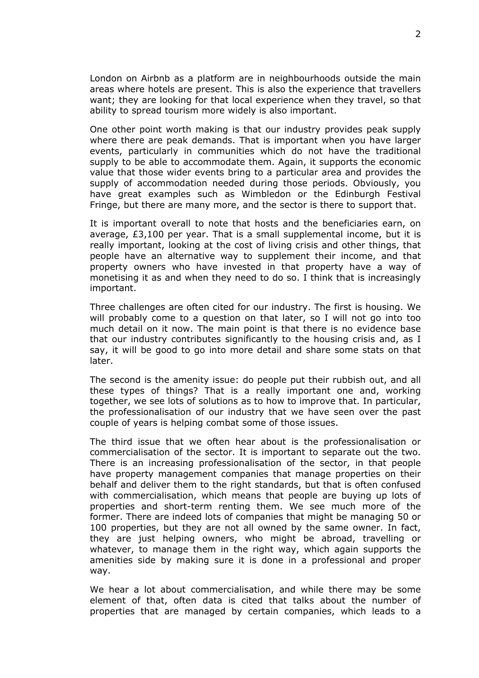London on Airbnb as a platform are in neighbourhoods outside the main areas where hotels are present. This is also the experience that travellers want; they are looking for that local experience when they travel, so that ability to spread tourism more widely is also important.

One other point worth making is that our industry provides peak supply where there are peak demands. That is important when you have larger events, particularly in communities which do not have the traditional supply to be able to accommodate them. Again, it supports the economic value that those wider events bring to a particular area and provides the supply of accommodation needed during those periods. Obviously, you have great examples such as Wimbledon or the Edinburgh Festival Fringe, but there are many more, and the sector is there to support that.

It is important overall to note that hosts and the beneficiaries earn, on average, £3,100 per year. That is a small supplemental income, but it is really important, looking at the cost of living crisis and other things, that people have an alternative way to supplement their income, and that property owners who have invested in that property have a way of monetising it as and when they need to do so. I think that is increasingly important.

Three challenges are often cited for our industry. The first is housing. We will probably come to a question on that later, so I will not go into too much detail on it now. The main point is that there is no evidence base that our industry contributes significantly to the housing crisis and, as I say, it will be good to go into more detail and share some stats on that later.

The second is the amenity issue: do people put their rubbish out, and all these types of things? That is a really important one and, working together, we see lots of solutions as to how to improve that. In particular, the professionalisation of our industry that we have seen over the past couple of years is helping combat some of those issues.

The third issue that we often hear about is the professionalisation or commercialisation of the sector. It is important to separate out the two. There is an increasing professionalisation of the sector, in that people have property management companies that manage properties on their behalf and deliver them to the right standards, but that is often confused with commercialisation, which means that people are buying up lots of properties and short-term renting them. We see much more of the former. There are indeed lots of companies that might be managing 50 or 100 properties, but they are not all owned by the same owner. In fact, they are just helping owners, who might be abroad, travelling or whatever, to manage them in the right way, which again supports the amenities side by making sure it is done in a professional and proper way.

We hear a lot about commercialisation, and while there may be some element of that, often data is cited that talks about the number of properties that are managed by certain companies, which leads to a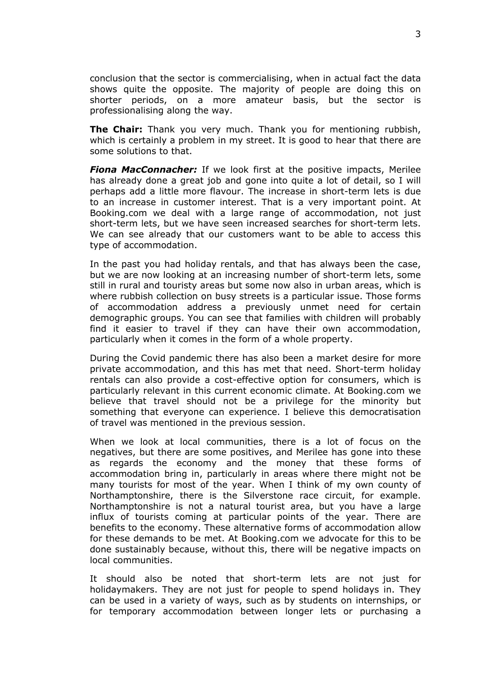conclusion that the sector is commercialising, when in actual fact the data shows quite the opposite. The majority of people are doing this on shorter periods, on a more amateur basis, but the sector is professionalising along the way.

**The Chair:** Thank you very much. Thank you for mentioning rubbish, which is certainly a problem in my street. It is good to hear that there are some solutions to that.

*Fiona MacConnacher:* If we look first at the positive impacts, Merilee has already done a great job and gone into quite a lot of detail, so I will perhaps add a little more flavour. The increase in short-term lets is due to an increase in customer interest. That is a very important point. At Booking.com we deal with a large range of accommodation, not just short-term lets, but we have seen increased searches for short-term lets. We can see already that our customers want to be able to access this type of accommodation.

In the past you had holiday rentals, and that has always been the case, but we are now looking at an increasing number of short-term lets, some still in rural and touristy areas but some now also in urban areas, which is where rubbish collection on busy streets is a particular issue. Those forms of accommodation address a previously unmet need for certain demographic groups. You can see that families with children will probably find it easier to travel if they can have their own accommodation, particularly when it comes in the form of a whole property.

During the Covid pandemic there has also been a market desire for more private accommodation, and this has met that need. Short-term holiday rentals can also provide a cost-effective option for consumers, which is particularly relevant in this current economic climate. At Booking.com we believe that travel should not be a privilege for the minority but something that everyone can experience. I believe this democratisation of travel was mentioned in the previous session.

When we look at local communities, there is a lot of focus on the negatives, but there are some positives, and Merilee has gone into these as regards the economy and the money that these forms of accommodation bring in, particularly in areas where there might not be many tourists for most of the year. When I think of my own county of Northamptonshire, there is the Silverstone race circuit, for example. Northamptonshire is not a natural tourist area, but you have a large influx of tourists coming at particular points of the year. There are benefits to the economy. These alternative forms of accommodation allow for these demands to be met. At Booking.com we advocate for this to be done sustainably because, without this, there will be negative impacts on local communities.

It should also be noted that short-term lets are not just for holidaymakers. They are not just for people to spend holidays in. They can be used in a variety of ways, such as by students on internships, or for temporary accommodation between longer lets or purchasing a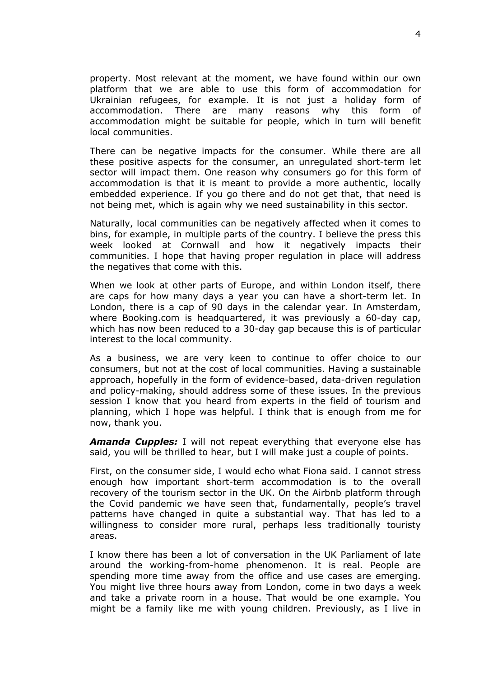property. Most relevant at the moment, we have found within our own platform that we are able to use this form of accommodation for Ukrainian refugees, for example. It is not just a holiday form of accommodation. There are many reasons why this form of accommodation might be suitable for people, which in turn will benefit local communities.

There can be negative impacts for the consumer. While there are all these positive aspects for the consumer, an unregulated short-term let sector will impact them. One reason why consumers go for this form of accommodation is that it is meant to provide a more authentic, locally embedded experience. If you go there and do not get that, that need is not being met, which is again why we need sustainability in this sector.

Naturally, local communities can be negatively affected when it comes to bins, for example, in multiple parts of the country. I believe the press this week looked at Cornwall and how it negatively impacts their communities. I hope that having proper regulation in place will address the negatives that come with this.

When we look at other parts of Europe, and within London itself, there are caps for how many days a year you can have a short-term let. In London, there is a cap of 90 days in the calendar year. In Amsterdam, where Booking.com is headquartered, it was previously a 60-day cap, which has now been reduced to a 30-day gap because this is of particular interest to the local community.

As a business, we are very keen to continue to offer choice to our consumers, but not at the cost of local communities. Having a sustainable approach, hopefully in the form of evidence-based, data-driven regulation and policy-making, should address some of these issues. In the previous session I know that you heard from experts in the field of tourism and planning, which I hope was helpful. I think that is enough from me for now, thank you.

*Amanda Cupples:* I will not repeat everything that everyone else has said, you will be thrilled to hear, but I will make just a couple of points.

First, on the consumer side, I would echo what Fiona said. I cannot stress enough how important short-term accommodation is to the overall recovery of the tourism sector in the UK. On the Airbnb platform through the Covid pandemic we have seen that, fundamentally, people's travel patterns have changed in quite a substantial way. That has led to a willingness to consider more rural, perhaps less traditionally touristy areas.

I know there has been a lot of conversation in the UK Parliament of late around the working-from-home phenomenon. It is real. People are spending more time away from the office and use cases are emerging. You might live three hours away from London, come in two days a week and take a private room in a house. That would be one example. You might be a family like me with young children. Previously, as I live in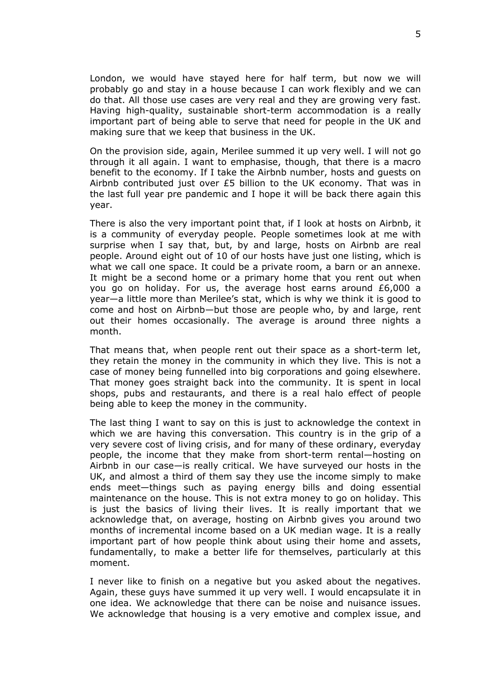London, we would have stayed here for half term, but now we will probably go and stay in a house because I can work flexibly and we can do that. All those use cases are very real and they are growing very fast. Having high-quality, sustainable short-term accommodation is a really important part of being able to serve that need for people in the UK and making sure that we keep that business in the UK.

On the provision side, again, Merilee summed it up very well. I will not go through it all again. I want to emphasise, though, that there is a macro benefit to the economy. If I take the Airbnb number, hosts and guests on Airbnb contributed just over £5 billion to the UK economy. That was in the last full year pre pandemic and I hope it will be back there again this year.

There is also the very important point that, if I look at hosts on Airbnb, it is a community of everyday people. People sometimes look at me with surprise when I say that, but, by and large, hosts on Airbnb are real people. Around eight out of 10 of our hosts have just one listing, which is what we call one space. It could be a private room, a barn or an annexe. It might be a second home or a primary home that you rent out when you go on holiday. For us, the average host earns around £6,000 a year—a little more than Merilee's stat, which is why we think it is good to come and host on Airbnb—but those are people who, by and large, rent out their homes occasionally. The average is around three nights a month.

That means that, when people rent out their space as a short-term let, they retain the money in the community in which they live. This is not a case of money being funnelled into big corporations and going elsewhere. That money goes straight back into the community. It is spent in local shops, pubs and restaurants, and there is a real halo effect of people being able to keep the money in the community.

The last thing I want to say on this is just to acknowledge the context in which we are having this conversation. This country is in the grip of a very severe cost of living crisis, and for many of these ordinary, everyday people, the income that they make from short-term rental—hosting on Airbnb in our case—is really critical. We have surveyed our hosts in the UK, and almost a third of them say they use the income simply to make ends meet—things such as paying energy bills and doing essential maintenance on the house. This is not extra money to go on holiday. This is just the basics of living their lives. It is really important that we acknowledge that, on average, hosting on Airbnb gives you around two months of incremental income based on a UK median wage. It is a really important part of how people think about using their home and assets, fundamentally, to make a better life for themselves, particularly at this moment.

I never like to finish on a negative but you asked about the negatives. Again, these guys have summed it up very well. I would encapsulate it in one idea. We acknowledge that there can be noise and nuisance issues. We acknowledge that housing is a very emotive and complex issue, and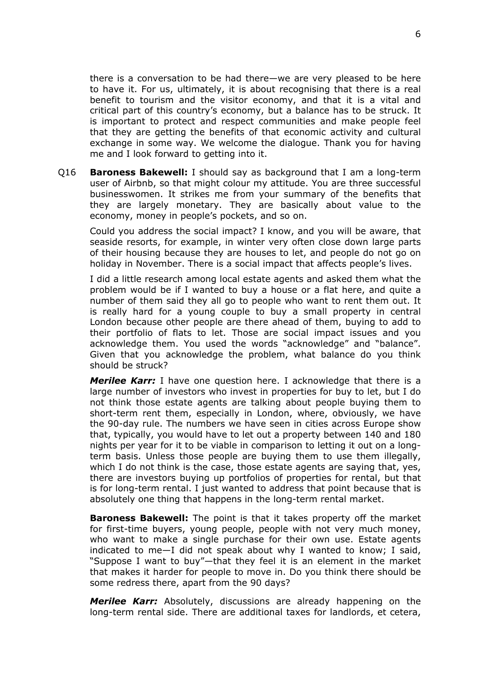there is a conversation to be had there—we are very pleased to be here to have it. For us, ultimately, it is about recognising that there is a real benefit to tourism and the visitor economy, and that it is a vital and critical part of this country's economy, but a balance has to be struck. It is important to protect and respect communities and make people feel that they are getting the benefits of that economic activity and cultural exchange in some way. We welcome the dialogue. Thank you for having me and I look forward to getting into it.

Q16 **Baroness Bakewell:** I should say as background that I am a long-term user of Airbnb, so that might colour my attitude. You are three successful businesswomen. It strikes me from your summary of the benefits that they are largely monetary. They are basically about value to the economy, money in people's pockets, and so on.

Could you address the social impact? I know, and you will be aware, that seaside resorts, for example, in winter very often close down large parts of their housing because they are houses to let, and people do not go on holiday in November. There is a social impact that affects people's lives.

I did a little research among local estate agents and asked them what the problem would be if I wanted to buy a house or a flat here, and quite a number of them said they all go to people who want to rent them out. It is really hard for a young couple to buy a small property in central London because other people are there ahead of them, buying to add to their portfolio of flats to let. Those are social impact issues and you acknowledge them. You used the words "acknowledge" and "balance". Given that you acknowledge the problem, what balance do you think should be struck?

*Merilee Karr:* I have one question here. I acknowledge that there is a large number of investors who invest in properties for buy to let, but I do not think those estate agents are talking about people buying them to short-term rent them, especially in London, where, obviously, we have the 90-day rule. The numbers we have seen in cities across Europe show that, typically, you would have to let out a property between 140 and 180 nights per year for it to be viable in comparison to letting it out on a longterm basis. Unless those people are buying them to use them illegally, which I do not think is the case, those estate agents are saying that, yes, there are investors buying up portfolios of properties for rental, but that is for long-term rental. I just wanted to address that point because that is absolutely one thing that happens in the long-term rental market.

**Baroness Bakewell:** The point is that it takes property off the market for first-time buyers, young people, people with not very much money, who want to make a single purchase for their own use. Estate agents indicated to me—I did not speak about why I wanted to know; I said, "Suppose I want to buy"—that they feel it is an element in the market that makes it harder for people to move in. Do you think there should be some redress there, apart from the 90 days?

*Merilee Karr:* Absolutely, discussions are already happening on the long-term rental side. There are additional taxes for landlords, et cetera,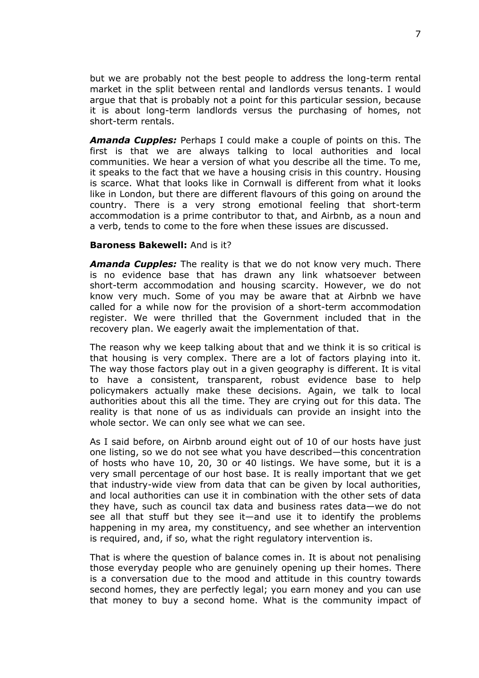but we are probably not the best people to address the long-term rental market in the split between rental and landlords versus tenants. I would argue that that is probably not a point for this particular session, because it is about long-term landlords versus the purchasing of homes, not short-term rentals.

*Amanda Cupples:* Perhaps I could make a couple of points on this. The first is that we are always talking to local authorities and local communities. We hear a version of what you describe all the time. To me, it speaks to the fact that we have a housing crisis in this country. Housing is scarce. What that looks like in Cornwall is different from what it looks like in London, but there are different flavours of this going on around the country. There is a very strong emotional feeling that short-term accommodation is a prime contributor to that, and Airbnb, as a noun and a verb, tends to come to the fore when these issues are discussed.

#### **Baroness Bakewell:** And is it?

*Amanda Cupples:* The reality is that we do not know very much. There is no evidence base that has drawn any link whatsoever between short-term accommodation and housing scarcity. However, we do not know very much. Some of you may be aware that at Airbnb we have called for a while now for the provision of a short-term accommodation register. We were thrilled that the Government included that in the recovery plan. We eagerly await the implementation of that.

The reason why we keep talking about that and we think it is so critical is that housing is very complex. There are a lot of factors playing into it. The way those factors play out in a given geography is different. It is vital to have a consistent, transparent, robust evidence base to help policymakers actually make these decisions. Again, we talk to local authorities about this all the time. They are crying out for this data. The reality is that none of us as individuals can provide an insight into the whole sector. We can only see what we can see.

As I said before, on Airbnb around eight out of 10 of our hosts have just one listing, so we do not see what you have described—this concentration of hosts who have 10, 20, 30 or 40 listings. We have some, but it is a very small percentage of our host base. It is really important that we get that industry-wide view from data that can be given by local authorities, and local authorities can use it in combination with the other sets of data they have, such as council tax data and business rates data—we do not see all that stuff but they see it—and use it to identify the problems happening in my area, my constituency, and see whether an intervention is required, and, if so, what the right regulatory intervention is.

That is where the question of balance comes in. It is about not penalising those everyday people who are genuinely opening up their homes. There is a conversation due to the mood and attitude in this country towards second homes, they are perfectly legal; you earn money and you can use that money to buy a second home. What is the community impact of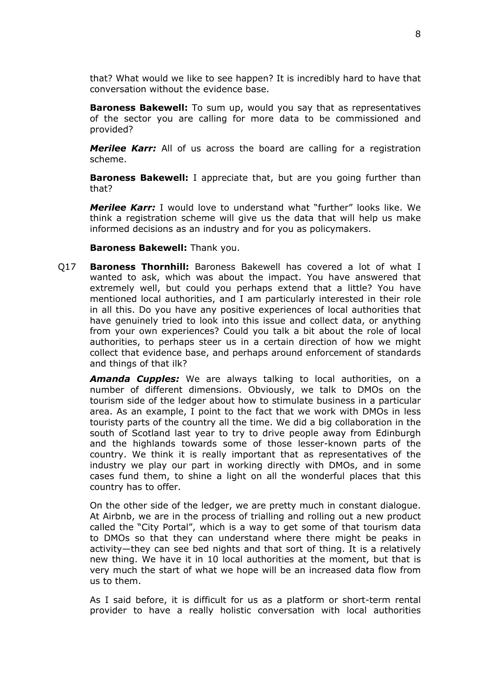that? What would we like to see happen? It is incredibly hard to have that conversation without the evidence base.

**Baroness Bakewell:** To sum up, would you say that as representatives of the sector you are calling for more data to be commissioned and provided?

*Merilee Karr:* All of us across the board are calling for a registration scheme.

**Baroness Bakewell:** I appreciate that, but are you going further than that?

*Merilee Karr:* I would love to understand what "further" looks like. We think a registration scheme will give us the data that will help us make informed decisions as an industry and for you as policymakers.

#### **Baroness Bakewell:** Thank you.

Q17 **Baroness Thornhill:** Baroness Bakewell has covered a lot of what I wanted to ask, which was about the impact. You have answered that extremely well, but could you perhaps extend that a little? You have mentioned local authorities, and I am particularly interested in their role in all this. Do you have any positive experiences of local authorities that have genuinely tried to look into this issue and collect data, or anything from your own experiences? Could you talk a bit about the role of local authorities, to perhaps steer us in a certain direction of how we might collect that evidence base, and perhaps around enforcement of standards and things of that ilk?

*Amanda Cupples:* We are always talking to local authorities, on a number of different dimensions. Obviously, we talk to DMOs on the tourism side of the ledger about how to stimulate business in a particular area. As an example, I point to the fact that we work with DMOs in less touristy parts of the country all the time. We did a big collaboration in the south of Scotland last year to try to drive people away from Edinburgh and the highlands towards some of those lesser-known parts of the country. We think it is really important that as representatives of the industry we play our part in working directly with DMOs, and in some cases fund them, to shine a light on all the wonderful places that this country has to offer.

On the other side of the ledger, we are pretty much in constant dialogue. At Airbnb, we are in the process of trialling and rolling out a new product called the "City Portal", which is a way to get some of that tourism data to DMOs so that they can understand where there might be peaks in activity—they can see bed nights and that sort of thing. It is a relatively new thing. We have it in 10 local authorities at the moment, but that is very much the start of what we hope will be an increased data flow from us to them.

As I said before, it is difficult for us as a platform or short-term rental provider to have a really holistic conversation with local authorities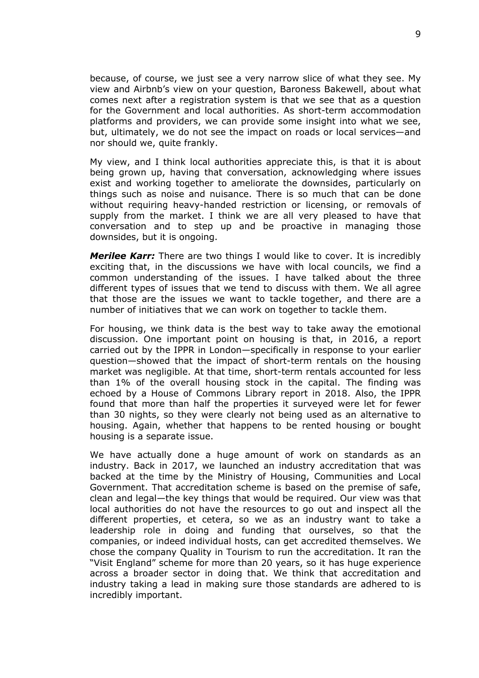because, of course, we just see a very narrow slice of what they see. My view and Airbnb's view on your question, Baroness Bakewell, about what comes next after a registration system is that we see that as a question for the Government and local authorities. As short-term accommodation platforms and providers, we can provide some insight into what we see, but, ultimately, we do not see the impact on roads or local services—and nor should we, quite frankly.

My view, and I think local authorities appreciate this, is that it is about being grown up, having that conversation, acknowledging where issues exist and working together to ameliorate the downsides, particularly on things such as noise and nuisance. There is so much that can be done without requiring heavy-handed restriction or licensing, or removals of supply from the market. I think we are all very pleased to have that conversation and to step up and be proactive in managing those downsides, but it is ongoing.

*Merilee Karr:* There are two things I would like to cover. It is incredibly exciting that, in the discussions we have with local councils, we find a common understanding of the issues. I have talked about the three different types of issues that we tend to discuss with them. We all agree that those are the issues we want to tackle together, and there are a number of initiatives that we can work on together to tackle them.

For housing, we think data is the best way to take away the emotional discussion. One important point on housing is that, in 2016, a report carried out by the IPPR in London—specifically in response to your earlier question—showed that the impact of short-term rentals on the housing market was negligible. At that time, short-term rentals accounted for less than 1% of the overall housing stock in the capital. The finding was echoed by a House of Commons Library report in 2018. Also, the IPPR found that more than half the properties it surveyed were let for fewer than 30 nights, so they were clearly not being used as an alternative to housing. Again, whether that happens to be rented housing or bought housing is a separate issue.

We have actually done a huge amount of work on standards as an industry. Back in 2017, we launched an industry accreditation that was backed at the time by the Ministry of Housing, Communities and Local Government. That accreditation scheme is based on the premise of safe, clean and legal—the key things that would be required. Our view was that local authorities do not have the resources to go out and inspect all the different properties, et cetera, so we as an industry want to take a leadership role in doing and funding that ourselves, so that the companies, or indeed individual hosts, can get accredited themselves. We chose the company Quality in Tourism to run the accreditation. It ran the "Visit England" scheme for more than 20 years, so it has huge experience across a broader sector in doing that. We think that accreditation and industry taking a lead in making sure those standards are adhered to is incredibly important.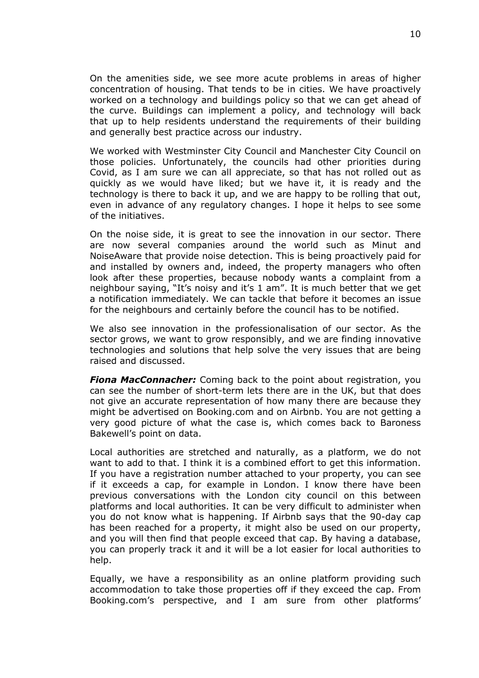On the amenities side, we see more acute problems in areas of higher concentration of housing. That tends to be in cities. We have proactively worked on a technology and buildings policy so that we can get ahead of the curve. Buildings can implement a policy, and technology will back that up to help residents understand the requirements of their building and generally best practice across our industry.

We worked with Westminster City Council and Manchester City Council on those policies. Unfortunately, the councils had other priorities during Covid, as I am sure we can all appreciate, so that has not rolled out as quickly as we would have liked; but we have it, it is ready and the technology is there to back it up, and we are happy to be rolling that out, even in advance of any regulatory changes. I hope it helps to see some of the initiatives.

On the noise side, it is great to see the innovation in our sector. There are now several companies around the world such as Minut and NoiseAware that provide noise detection. This is being proactively paid for and installed by owners and, indeed, the property managers who often look after these properties, because nobody wants a complaint from a neighbour saying, "It's noisy and it's 1 am". It is much better that we get a notification immediately. We can tackle that before it becomes an issue for the neighbours and certainly before the council has to be notified.

We also see innovation in the professionalisation of our sector. As the sector grows, we want to grow responsibly, and we are finding innovative technologies and solutions that help solve the very issues that are being raised and discussed.

*Fiona MacConnacher:* Coming back to the point about registration, you can see the number of short-term lets there are in the UK, but that does not give an accurate representation of how many there are because they might be advertised on Booking.com and on Airbnb. You are not getting a very good picture of what the case is, which comes back to Baroness Bakewell's point on data.

Local authorities are stretched and naturally, as a platform, we do not want to add to that. I think it is a combined effort to get this information. If you have a registration number attached to your property, you can see if it exceeds a cap, for example in London. I know there have been previous conversations with the London city council on this between platforms and local authorities. It can be very difficult to administer when you do not know what is happening. If Airbnb says that the 90-day cap has been reached for a property, it might also be used on our property, and you will then find that people exceed that cap. By having a database, you can properly track it and it will be a lot easier for local authorities to help.

Equally, we have a responsibility as an online platform providing such accommodation to take those properties off if they exceed the cap. From Booking.com's perspective, and I am sure from other platforms'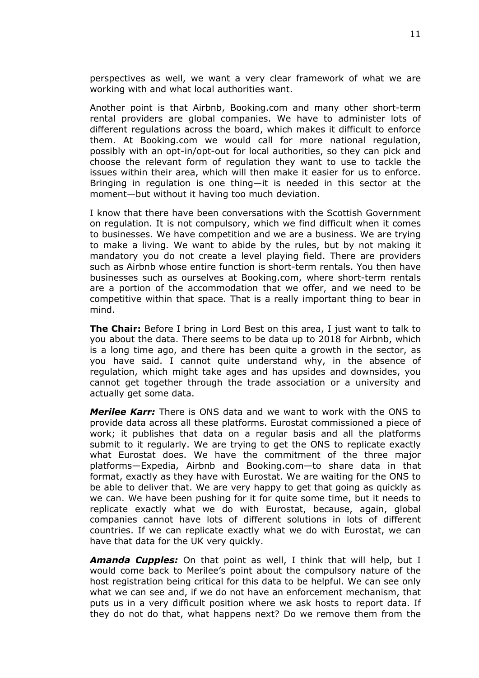perspectives as well, we want a very clear framework of what we are working with and what local authorities want.

Another point is that Airbnb, Booking.com and many other short-term rental providers are global companies. We have to administer lots of different regulations across the board, which makes it difficult to enforce them. At Booking.com we would call for more national regulation, possibly with an opt-in/opt-out for local authorities, so they can pick and choose the relevant form of regulation they want to use to tackle the issues within their area, which will then make it easier for us to enforce. Bringing in regulation is one thing—it is needed in this sector at the moment—but without it having too much deviation.

I know that there have been conversations with the Scottish Government on regulation. It is not compulsory, which we find difficult when it comes to businesses. We have competition and we are a business. We are trying to make a living. We want to abide by the rules, but by not making it mandatory you do not create a level playing field. There are providers such as Airbnb whose entire function is short-term rentals. You then have businesses such as ourselves at Booking.com, where short-term rentals are a portion of the accommodation that we offer, and we need to be competitive within that space. That is a really important thing to bear in mind.

**The Chair:** Before I bring in Lord Best on this area, I just want to talk to you about the data. There seems to be data up to 2018 for Airbnb, which is a long time ago, and there has been quite a growth in the sector, as you have said. I cannot quite understand why, in the absence of regulation, which might take ages and has upsides and downsides, you cannot get together through the trade association or a university and actually get some data.

*Merilee Karr:* There is ONS data and we want to work with the ONS to provide data across all these platforms. Eurostat commissioned a piece of work; it publishes that data on a regular basis and all the platforms submit to it regularly. We are trying to get the ONS to replicate exactly what Eurostat does. We have the commitment of the three major platforms—Expedia, Airbnb and Booking.com—to share data in that format, exactly as they have with Eurostat. We are waiting for the ONS to be able to deliver that. We are very happy to get that going as quickly as we can. We have been pushing for it for quite some time, but it needs to replicate exactly what we do with Eurostat, because, again, global companies cannot have lots of different solutions in lots of different countries. If we can replicate exactly what we do with Eurostat, we can have that data for the UK very quickly.

*Amanda Cupples:* On that point as well, I think that will help, but I would come back to Merilee's point about the compulsory nature of the host registration being critical for this data to be helpful. We can see only what we can see and, if we do not have an enforcement mechanism, that puts us in a very difficult position where we ask hosts to report data. If they do not do that, what happens next? Do we remove them from the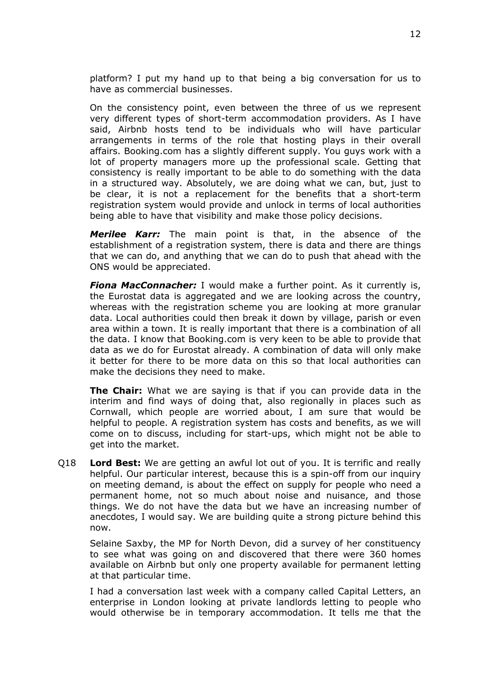platform? I put my hand up to that being a big conversation for us to have as commercial businesses.

On the consistency point, even between the three of us we represent very different types of short-term accommodation providers. As I have said, Airbnb hosts tend to be individuals who will have particular arrangements in terms of the role that hosting plays in their overall affairs. Booking.com has a slightly different supply. You guys work with a lot of property managers more up the professional scale. Getting that consistency is really important to be able to do something with the data in a structured way. Absolutely, we are doing what we can, but, just to be clear, it is not a replacement for the benefits that a short-term registration system would provide and unlock in terms of local authorities being able to have that visibility and make those policy decisions.

*Merilee Karr:* The main point is that, in the absence of the establishment of a registration system, there is data and there are things that we can do, and anything that we can do to push that ahead with the ONS would be appreciated.

*Fiona MacConnacher:* I would make a further point. As it currently is, the Eurostat data is aggregated and we are looking across the country, whereas with the registration scheme you are looking at more granular data. Local authorities could then break it down by village, parish or even area within a town. It is really important that there is a combination of all the data. I know that Booking.com is very keen to be able to provide that data as we do for Eurostat already. A combination of data will only make it better for there to be more data on this so that local authorities can make the decisions they need to make.

**The Chair:** What we are saying is that if you can provide data in the interim and find ways of doing that, also regionally in places such as Cornwall, which people are worried about, I am sure that would be helpful to people. A registration system has costs and benefits, as we will come on to discuss, including for start-ups, which might not be able to get into the market.

Q18 **Lord Best:** We are getting an awful lot out of you. It is terrific and really helpful. Our particular interest, because this is a spin-off from our inquiry on meeting demand, is about the effect on supply for people who need a permanent home, not so much about noise and nuisance, and those things. We do not have the data but we have an increasing number of anecdotes, I would say. We are building quite a strong picture behind this now.

Selaine Saxby, the MP for North Devon, did a survey of her constituency to see what was going on and discovered that there were 360 homes available on Airbnb but only one property available for permanent letting at that particular time.

I had a conversation last week with a company called Capital Letters, an enterprise in London looking at private landlords letting to people who would otherwise be in temporary accommodation. It tells me that the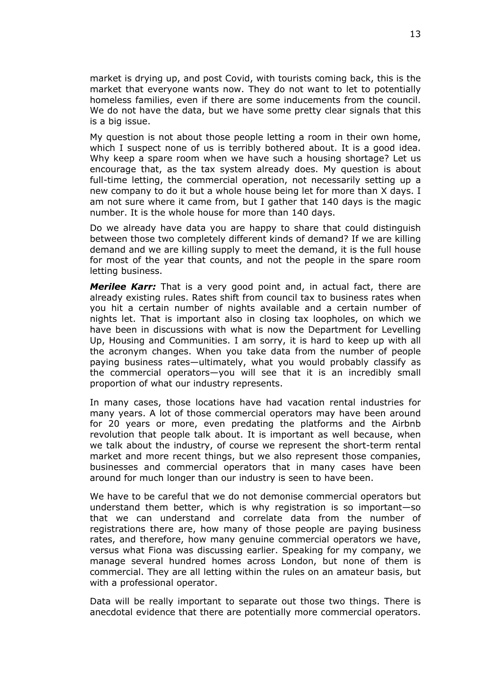market is drying up, and post Covid, with tourists coming back, this is the market that everyone wants now. They do not want to let to potentially homeless families, even if there are some inducements from the council. We do not have the data, but we have some pretty clear signals that this is a big issue.

My question is not about those people letting a room in their own home, which I suspect none of us is terribly bothered about. It is a good idea. Why keep a spare room when we have such a housing shortage? Let us encourage that, as the tax system already does. My question is about full-time letting, the commercial operation, not necessarily setting up a new company to do it but a whole house being let for more than X days. I am not sure where it came from, but I gather that 140 days is the magic number. It is the whole house for more than 140 days.

Do we already have data you are happy to share that could distinguish between those two completely different kinds of demand? If we are killing demand and we are killing supply to meet the demand, it is the full house for most of the year that counts, and not the people in the spare room letting business.

*Merilee Karr:* That is a very good point and, in actual fact, there are already existing rules. Rates shift from council tax to business rates when you hit a certain number of nights available and a certain number of nights let. That is important also in closing tax loopholes, on which we have been in discussions with what is now the Department for Levelling Up, Housing and Communities. I am sorry, it is hard to keep up with all the acronym changes. When you take data from the number of people paying business rates—ultimately, what you would probably classify as the commercial operators—you will see that it is an incredibly small proportion of what our industry represents.

In many cases, those locations have had vacation rental industries for many years. A lot of those commercial operators may have been around for 20 years or more, even predating the platforms and the Airbnb revolution that people talk about. It is important as well because, when we talk about the industry, of course we represent the short-term rental market and more recent things, but we also represent those companies, businesses and commercial operators that in many cases have been around for much longer than our industry is seen to have been.

We have to be careful that we do not demonise commercial operators but understand them better, which is why registration is so important—so that we can understand and correlate data from the number of registrations there are, how many of those people are paying business rates, and therefore, how many genuine commercial operators we have, versus what Fiona was discussing earlier. Speaking for my company, we manage several hundred homes across London, but none of them is commercial. They are all letting within the rules on an amateur basis, but with a professional operator.

Data will be really important to separate out those two things. There is anecdotal evidence that there are potentially more commercial operators.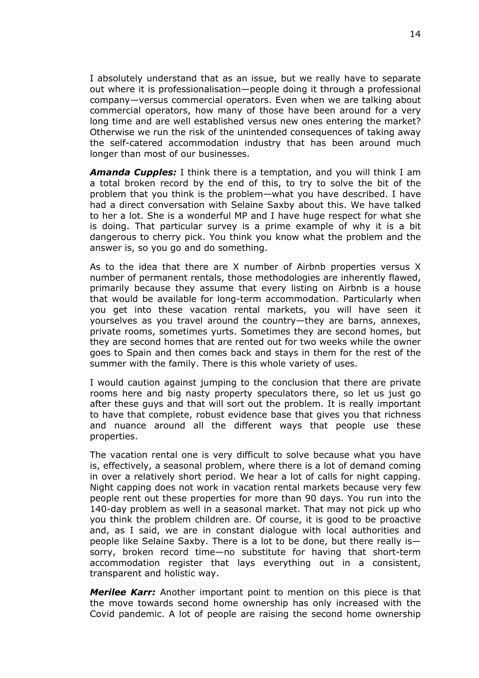I absolutely understand that as an issue, but we really have to separate out where it is professionalisation—people doing it through a professional company—versus commercial operators. Even when we are talking about commercial operators, how many of those have been around for a very long time and are well established versus new ones entering the market? Otherwise we run the risk of the unintended consequences of taking away the self-catered accommodation industry that has been around much longer than most of our businesses.

*Amanda Cupples:* I think there is a temptation, and you will think I am a total broken record by the end of this, to try to solve the bit of the problem that you think is the problem—what you have described. I have had a direct conversation with Selaine Saxby about this. We have talked to her a lot. She is a wonderful MP and I have huge respect for what she is doing. That particular survey is a prime example of why it is a bit dangerous to cherry pick. You think you know what the problem and the answer is, so you go and do something.

As to the idea that there are X number of Airbnb properties versus X number of permanent rentals, those methodologies are inherently flawed, primarily because they assume that every listing on Airbnb is a house that would be available for long-term accommodation. Particularly when you get into these vacation rental markets, you will have seen it yourselves as you travel around the country—they are barns, annexes, private rooms, sometimes yurts. Sometimes they are second homes, but they are second homes that are rented out for two weeks while the owner goes to Spain and then comes back and stays in them for the rest of the summer with the family. There is this whole variety of uses.

I would caution against jumping to the conclusion that there are private rooms here and big nasty property speculators there, so let us just go after these guys and that will sort out the problem. It is really important to have that complete, robust evidence base that gives you that richness and nuance around all the different ways that people use these properties.

The vacation rental one is very difficult to solve because what you have is, effectively, a seasonal problem, where there is a lot of demand coming in over a relatively short period. We hear a lot of calls for night capping. Night capping does not work in vacation rental markets because very few people rent out these properties for more than 90 days. You run into the 140-day problem as well in a seasonal market. That may not pick up who you think the problem children are. Of course, it is good to be proactive and, as I said, we are in constant dialogue with local authorities and people like Selaine Saxby. There is a lot to be done, but there really is sorry, broken record time—no substitute for having that short-term accommodation register that lays everything out in a consistent, transparent and holistic way.

*Merilee Karr:* Another important point to mention on this piece is that the move towards second home ownership has only increased with the Covid pandemic. A lot of people are raising the second home ownership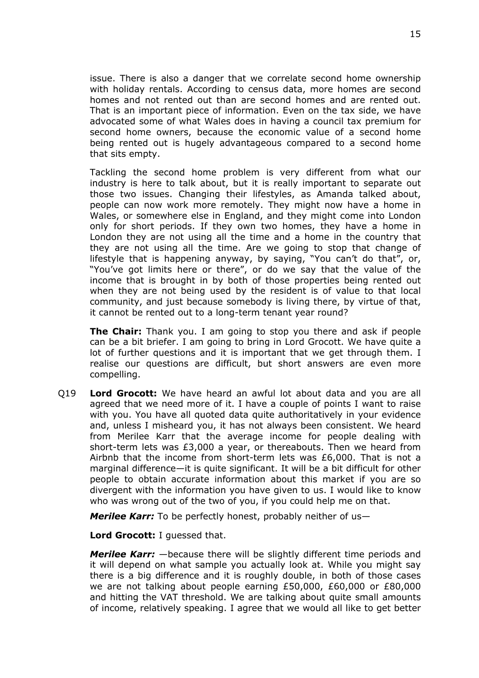issue. There is also a danger that we correlate second home ownership with holiday rentals. According to census data, more homes are second homes and not rented out than are second homes and are rented out. That is an important piece of information. Even on the tax side, we have advocated some of what Wales does in having a council tax premium for second home owners, because the economic value of a second home being rented out is hugely advantageous compared to a second home that sits empty.

Tackling the second home problem is very different from what our industry is here to talk about, but it is really important to separate out those two issues. Changing their lifestyles, as Amanda talked about, people can now work more remotely. They might now have a home in Wales, or somewhere else in England, and they might come into London only for short periods. If they own two homes, they have a home in London they are not using all the time and a home in the country that they are not using all the time. Are we going to stop that change of lifestyle that is happening anyway, by saying, "You can't do that", or, "You've got limits here or there", or do we say that the value of the income that is brought in by both of those properties being rented out when they are not being used by the resident is of value to that local community, and just because somebody is living there, by virtue of that, it cannot be rented out to a long-term tenant year round?

**The Chair:** Thank you. I am going to stop you there and ask if people can be a bit briefer. I am going to bring in Lord Grocott. We have quite a lot of further questions and it is important that we get through them. I realise our questions are difficult, but short answers are even more compelling.

Q19 **Lord Grocott:** We have heard an awful lot about data and you are all agreed that we need more of it. I have a couple of points I want to raise with you. You have all quoted data quite authoritatively in your evidence and, unless I misheard you, it has not always been consistent. We heard from Merilee Karr that the average income for people dealing with short-term lets was £3,000 a year, or thereabouts. Then we heard from Airbnb that the income from short-term lets was £6,000. That is not a marginal difference—it is quite significant. It will be a bit difficult for other people to obtain accurate information about this market if you are so divergent with the information you have given to us. I would like to know who was wrong out of the two of you, if you could help me on that.

*Merilee Karr:* To be perfectly honest, probably neither of us—

**Lord Grocott:** I guessed that.

*Merilee Karr:* —because there will be slightly different time periods and it will depend on what sample you actually look at. While you might say there is a big difference and it is roughly double, in both of those cases we are not talking about people earning £50,000, £60,000 or £80,000 and hitting the VAT threshold. We are talking about quite small amounts of income, relatively speaking. I agree that we would all like to get better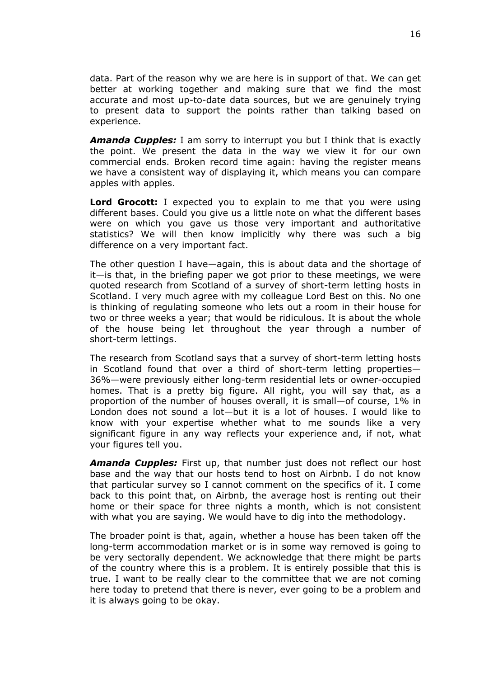data. Part of the reason why we are here is in support of that. We can get better at working together and making sure that we find the most accurate and most up-to-date data sources, but we are genuinely trying to present data to support the points rather than talking based on experience.

*Amanda Cupples:* I am sorry to interrupt you but I think that is exactly the point. We present the data in the way we view it for our own commercial ends. Broken record time again: having the register means we have a consistent way of displaying it, which means you can compare apples with apples.

**Lord Grocott:** I expected you to explain to me that you were using different bases. Could you give us a little note on what the different bases were on which you gave us those very important and authoritative statistics? We will then know implicitly why there was such a big difference on a very important fact.

The other question I have—again, this is about data and the shortage of it—is that, in the briefing paper we got prior to these meetings, we were quoted research from Scotland of a survey of short-term letting hosts in Scotland. I very much agree with my colleague Lord Best on this. No one is thinking of regulating someone who lets out a room in their house for two or three weeks a year; that would be ridiculous. It is about the whole of the house being let throughout the year through a number of short-term lettings.

The research from Scotland says that a survey of short-term letting hosts in Scotland found that over a third of short-term letting properties— 36%—were previously either long-term residential lets or owner-occupied homes. That is a pretty big figure. All right, you will say that, as a proportion of the number of houses overall, it is small—of course, 1% in London does not sound a lot—but it is a lot of houses. I would like to know with your expertise whether what to me sounds like a very significant figure in any way reflects your experience and, if not, what your figures tell you.

*Amanda Cupples:* First up, that number just does not reflect our host base and the way that our hosts tend to host on Airbnb. I do not know that particular survey so I cannot comment on the specifics of it. I come back to this point that, on Airbnb, the average host is renting out their home or their space for three nights a month, which is not consistent with what you are saying. We would have to dig into the methodology.

The broader point is that, again, whether a house has been taken off the long-term accommodation market or is in some way removed is going to be very sectorally dependent. We acknowledge that there might be parts of the country where this is a problem. It is entirely possible that this is true. I want to be really clear to the committee that we are not coming here today to pretend that there is never, ever going to be a problem and it is always going to be okay.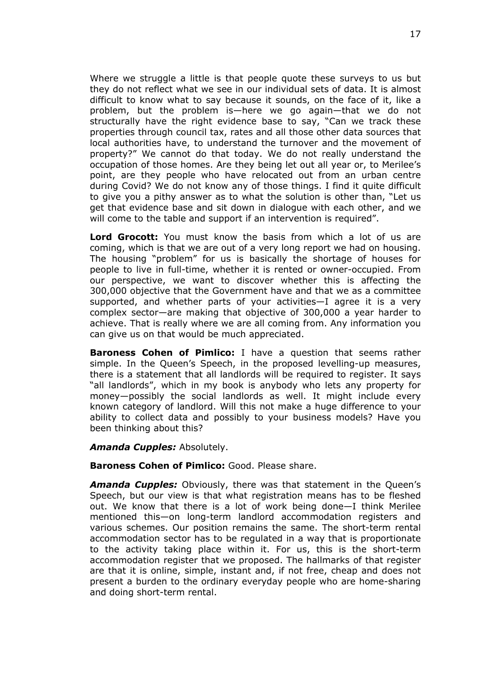Where we struggle a little is that people quote these surveys to us but they do not reflect what we see in our individual sets of data. It is almost difficult to know what to say because it sounds, on the face of it, like a problem, but the problem is—here we go again—that we do not structurally have the right evidence base to say, "Can we track these properties through council tax, rates and all those other data sources that local authorities have, to understand the turnover and the movement of property?" We cannot do that today. We do not really understand the occupation of those homes. Are they being let out all year or, to Merilee's point, are they people who have relocated out from an urban centre during Covid? We do not know any of those things. I find it quite difficult to give you a pithy answer as to what the solution is other than, "Let us get that evidence base and sit down in dialogue with each other, and we will come to the table and support if an intervention is required".

**Lord Grocott:** You must know the basis from which a lot of us are coming, which is that we are out of a very long report we had on housing. The housing "problem" for us is basically the shortage of houses for people to live in full-time, whether it is rented or owner-occupied. From our perspective, we want to discover whether this is affecting the 300,000 objective that the Government have and that we as a committee supported, and whether parts of your activities—I agree it is a very complex sector—are making that objective of 300,000 a year harder to achieve. That is really where we are all coming from. Any information you can give us on that would be much appreciated.

**Baroness Cohen of Pimlico:** I have a question that seems rather simple. In the Queen's Speech, in the proposed levelling-up measures, there is a statement that all landlords will be required to register. It says "all landlords", which in my book is anybody who lets any property for money—possibly the social landlords as well. It might include every known category of landlord. Will this not make a huge difference to your ability to collect data and possibly to your business models? Have you been thinking about this?

#### *Amanda Cupples:* Absolutely.

#### **Baroness Cohen of Pimlico:** Good. Please share.

*Amanda Cupples:* Obviously, there was that statement in the Queen's Speech, but our view is that what registration means has to be fleshed out. We know that there is a lot of work being done—I think Merilee mentioned this—on long-term landlord accommodation registers and various schemes. Our position remains the same. The short-term rental accommodation sector has to be regulated in a way that is proportionate to the activity taking place within it. For us, this is the short-term accommodation register that we proposed. The hallmarks of that register are that it is online, simple, instant and, if not free, cheap and does not present a burden to the ordinary everyday people who are home-sharing and doing short-term rental.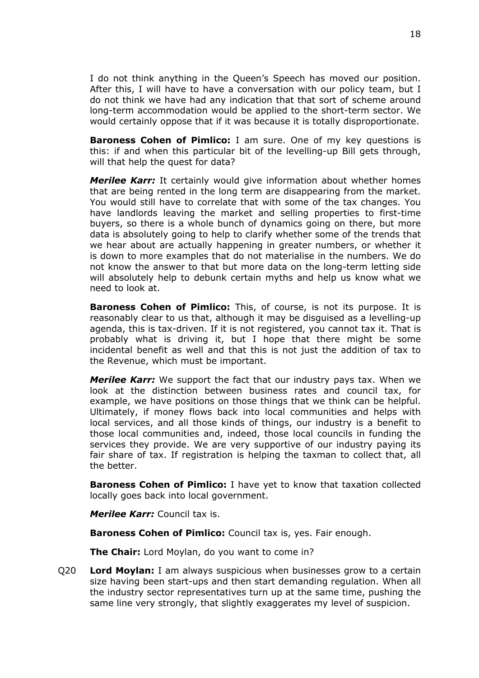I do not think anything in the Queen's Speech has moved our position. After this, I will have to have a conversation with our policy team, but I do not think we have had any indication that that sort of scheme around long-term accommodation would be applied to the short-term sector. We would certainly oppose that if it was because it is totally disproportionate.

**Baroness Cohen of Pimlico:** I am sure. One of my key questions is this: if and when this particular bit of the levelling-up Bill gets through, will that help the quest for data?

*Merilee Karr:* It certainly would give information about whether homes that are being rented in the long term are disappearing from the market. You would still have to correlate that with some of the tax changes. You have landlords leaving the market and selling properties to first-time buyers, so there is a whole bunch of dynamics going on there, but more data is absolutely going to help to clarify whether some of the trends that we hear about are actually happening in greater numbers, or whether it is down to more examples that do not materialise in the numbers. We do not know the answer to that but more data on the long-term letting side will absolutely help to debunk certain myths and help us know what we need to look at.

**Baroness Cohen of Pimlico:** This, of course, is not its purpose. It is reasonably clear to us that, although it may be disguised as a levelling-up agenda, this is tax-driven. If it is not registered, you cannot tax it. That is probably what is driving it, but I hope that there might be some incidental benefit as well and that this is not just the addition of tax to the Revenue, which must be important.

*Merilee Karr:* We support the fact that our industry pays tax. When we look at the distinction between business rates and council tax, for example, we have positions on those things that we think can be helpful. Ultimately, if money flows back into local communities and helps with local services, and all those kinds of things, our industry is a benefit to those local communities and, indeed, those local councils in funding the services they provide. We are very supportive of our industry paying its fair share of tax. If registration is helping the taxman to collect that, all the better.

**Baroness Cohen of Pimlico:** I have yet to know that taxation collected locally goes back into local government.

*Merilee Karr:* Council tax is.

**Baroness Cohen of Pimlico:** Council tax is, yes. Fair enough.

**The Chair:** Lord Moylan, do you want to come in?

Q20 **Lord Moylan:** I am always suspicious when businesses grow to a certain size having been start-ups and then start demanding regulation. When all the industry sector representatives turn up at the same time, pushing the same line very strongly, that slightly exaggerates my level of suspicion.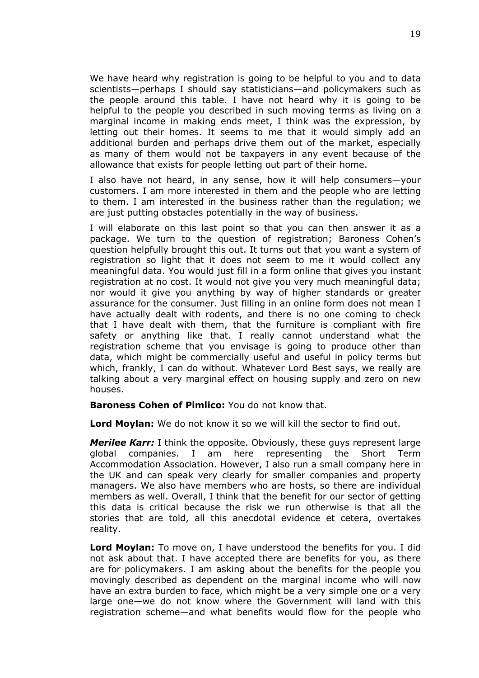We have heard why registration is going to be helpful to you and to data scientists—perhaps I should say statisticians—and policymakers such as the people around this table. I have not heard why it is going to be helpful to the people you described in such moving terms as living on a marginal income in making ends meet, I think was the expression, by letting out their homes. It seems to me that it would simply add an additional burden and perhaps drive them out of the market, especially as many of them would not be taxpayers in any event because of the allowance that exists for people letting out part of their home.

I also have not heard, in any sense, how it will help consumers—your customers. I am more interested in them and the people who are letting to them. I am interested in the business rather than the regulation; we are just putting obstacles potentially in the way of business.

I will elaborate on this last point so that you can then answer it as a package. We turn to the question of registration; Baroness Cohen's question helpfully brought this out. It turns out that you want a system of registration so light that it does not seem to me it would collect any meaningful data. You would just fill in a form online that gives you instant registration at no cost. It would not give you very much meaningful data; nor would it give you anything by way of higher standards or greater assurance for the consumer. Just filling in an online form does not mean I have actually dealt with rodents, and there is no one coming to check that I have dealt with them, that the furniture is compliant with fire safety or anything like that. I really cannot understand what the registration scheme that you envisage is going to produce other than data, which might be commercially useful and useful in policy terms but which, frankly, I can do without. Whatever Lord Best says, we really are talking about a very marginal effect on housing supply and zero on new houses.

**Baroness Cohen of Pimlico:** You do not know that.

**Lord Moylan:** We do not know it so we will kill the sector to find out.

*Merilee Karr:* I think the opposite. Obviously, these guys represent large global companies. I am here representing the Short Term Accommodation Association. However, I also run a small company here in the UK and can speak very clearly for smaller companies and property managers. We also have members who are hosts, so there are individual members as well. Overall, I think that the benefit for our sector of getting this data is critical because the risk we run otherwise is that all the stories that are told, all this anecdotal evidence et cetera, overtakes reality.

**Lord Moylan:** To move on, I have understood the benefits for you. I did not ask about that. I have accepted there are benefits for you, as there are for policymakers. I am asking about the benefits for the people you movingly described as dependent on the marginal income who will now have an extra burden to face, which might be a very simple one or a very large one—we do not know where the Government will land with this registration scheme—and what benefits would flow for the people who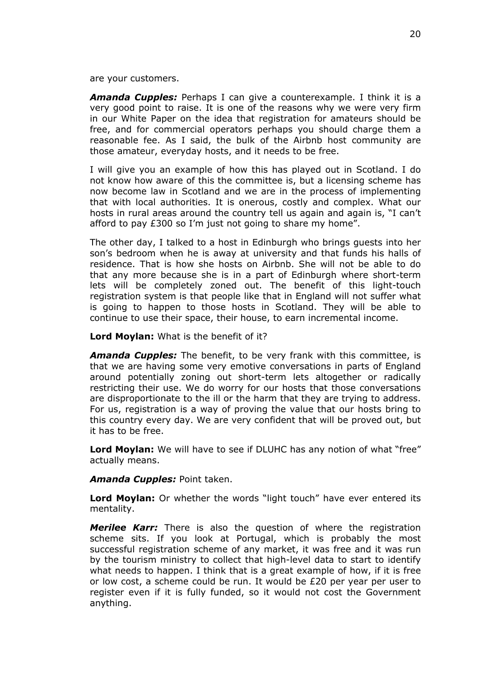are your customers.

*Amanda Cupples:* Perhaps I can give a counterexample. I think it is a very good point to raise. It is one of the reasons why we were very firm in our White Paper on the idea that registration for amateurs should be free, and for commercial operators perhaps you should charge them a reasonable fee. As I said, the bulk of the Airbnb host community are those amateur, everyday hosts, and it needs to be free.

I will give you an example of how this has played out in Scotland. I do not know how aware of this the committee is, but a licensing scheme has now become law in Scotland and we are in the process of implementing that with local authorities. It is onerous, costly and complex. What our hosts in rural areas around the country tell us again and again is, "I can't afford to pay £300 so I'm just not going to share my home".

The other day, I talked to a host in Edinburgh who brings guests into her son's bedroom when he is away at university and that funds his halls of residence. That is how she hosts on Airbnb. She will not be able to do that any more because she is in a part of Edinburgh where short-term lets will be completely zoned out. The benefit of this light-touch registration system is that people like that in England will not suffer what is going to happen to those hosts in Scotland. They will be able to continue to use their space, their house, to earn incremental income.

**Lord Moylan:** What is the benefit of it?

*Amanda Cupples:* The benefit, to be very frank with this committee, is that we are having some very emotive conversations in parts of England around potentially zoning out short-term lets altogether or radically restricting their use. We do worry for our hosts that those conversations are disproportionate to the ill or the harm that they are trying to address. For us, registration is a way of proving the value that our hosts bring to this country every day. We are very confident that will be proved out, but it has to be free.

**Lord Moylan:** We will have to see if DLUHC has any notion of what "free" actually means.

*Amanda Cupples:* Point taken.

**Lord Moylan:** Or whether the words "light touch" have ever entered its mentality.

*Merilee Karr:* There is also the question of where the registration scheme sits. If you look at Portugal, which is probably the most successful registration scheme of any market, it was free and it was run by the tourism ministry to collect that high-level data to start to identify what needs to happen. I think that is a great example of how, if it is free or low cost, a scheme could be run. It would be £20 per year per user to register even if it is fully funded, so it would not cost the Government anything.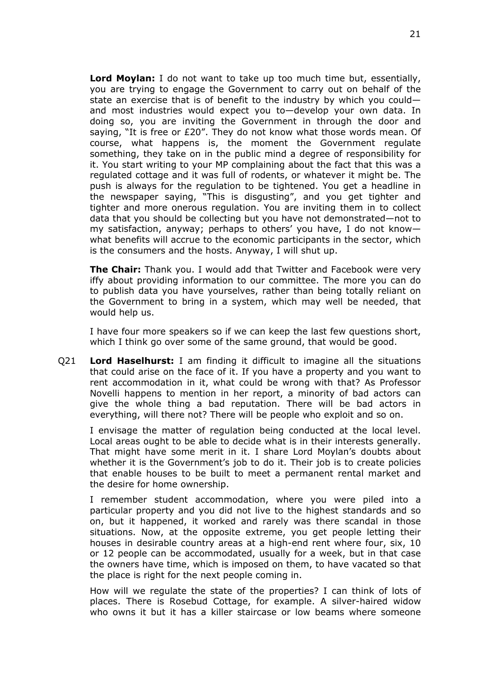**Lord Moylan:** I do not want to take up too much time but, essentially, you are trying to engage the Government to carry out on behalf of the state an exercise that is of benefit to the industry by which you could and most industries would expect you to—develop your own data. In doing so, you are inviting the Government in through the door and saying, "It is free or £20". They do not know what those words mean. Of course, what happens is, the moment the Government regulate something, they take on in the public mind a degree of responsibility for it. You start writing to your MP complaining about the fact that this was a regulated cottage and it was full of rodents, or whatever it might be. The push is always for the regulation to be tightened. You get a headline in the newspaper saying, "This is disgusting", and you get tighter and tighter and more onerous regulation. You are inviting them in to collect data that you should be collecting but you have not demonstrated—not to my satisfaction, anyway; perhaps to others' you have, I do not know what benefits will accrue to the economic participants in the sector, which is the consumers and the hosts. Anyway, I will shut up.

**The Chair:** Thank you. I would add that Twitter and Facebook were very iffy about providing information to our committee. The more you can do to publish data you have yourselves, rather than being totally reliant on the Government to bring in a system, which may well be needed, that would help us.

I have four more speakers so if we can keep the last few questions short, which I think go over some of the same ground, that would be good.

Q21 **Lord Haselhurst:** I am finding it difficult to imagine all the situations that could arise on the face of it. If you have a property and you want to rent accommodation in it, what could be wrong with that? As Professor Novelli happens to mention in her report, a minority of bad actors can give the whole thing a bad reputation. There will be bad actors in everything, will there not? There will be people who exploit and so on.

I envisage the matter of regulation being conducted at the local level. Local areas ought to be able to decide what is in their interests generally. That might have some merit in it. I share Lord Moylan's doubts about whether it is the Government's job to do it. Their job is to create policies that enable houses to be built to meet a permanent rental market and the desire for home ownership.

I remember student accommodation, where you were piled into a particular property and you did not live to the highest standards and so on, but it happened, it worked and rarely was there scandal in those situations. Now, at the opposite extreme, you get people letting their houses in desirable country areas at a high-end rent where four, six, 10 or 12 people can be accommodated, usually for a week, but in that case the owners have time, which is imposed on them, to have vacated so that the place is right for the next people coming in.

How will we regulate the state of the properties? I can think of lots of places. There is Rosebud Cottage, for example. A silver-haired widow who owns it but it has a killer staircase or low beams where someone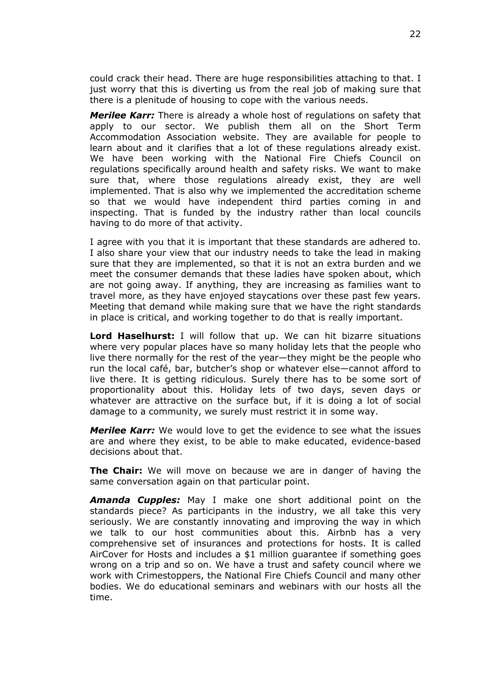could crack their head. There are huge responsibilities attaching to that. I just worry that this is diverting us from the real job of making sure that there is a plenitude of housing to cope with the various needs.

*Merilee Karr:* There is already a whole host of regulations on safety that apply to our sector. We publish them all on the Short Term Accommodation Association website. They are available for people to learn about and it clarifies that a lot of these regulations already exist. We have been working with the National Fire Chiefs Council on regulations specifically around health and safety risks. We want to make sure that, where those regulations already exist, they are well implemented. That is also why we implemented the accreditation scheme so that we would have independent third parties coming in and inspecting. That is funded by the industry rather than local councils having to do more of that activity.

I agree with you that it is important that these standards are adhered to. I also share your view that our industry needs to take the lead in making sure that they are implemented, so that it is not an extra burden and we meet the consumer demands that these ladies have spoken about, which are not going away. If anything, they are increasing as families want to travel more, as they have enjoyed staycations over these past few years. Meeting that demand while making sure that we have the right standards in place is critical, and working together to do that is really important.

**Lord Haselhurst:** I will follow that up. We can hit bizarre situations where very popular places have so many holiday lets that the people who live there normally for the rest of the year—they might be the people who run the local café, bar, butcher's shop or whatever else—cannot afford to live there. It is getting ridiculous. Surely there has to be some sort of proportionality about this. Holiday lets of two days, seven days or whatever are attractive on the surface but, if it is doing a lot of social damage to a community, we surely must restrict it in some way.

*Merilee Karr:* We would love to get the evidence to see what the issues are and where they exist, to be able to make educated, evidence-based decisions about that.

**The Chair:** We will move on because we are in danger of having the same conversation again on that particular point.

*Amanda Cupples:* May I make one short additional point on the standards piece? As participants in the industry, we all take this very seriously. We are constantly innovating and improving the way in which we talk to our host communities about this. Airbnb has a very comprehensive set of insurances and protections for hosts. It is called AirCover for Hosts and includes a \$1 million guarantee if something goes wrong on a trip and so on. We have a trust and safety council where we work with Crimestoppers, the National Fire Chiefs Council and many other bodies. We do educational seminars and webinars with our hosts all the time.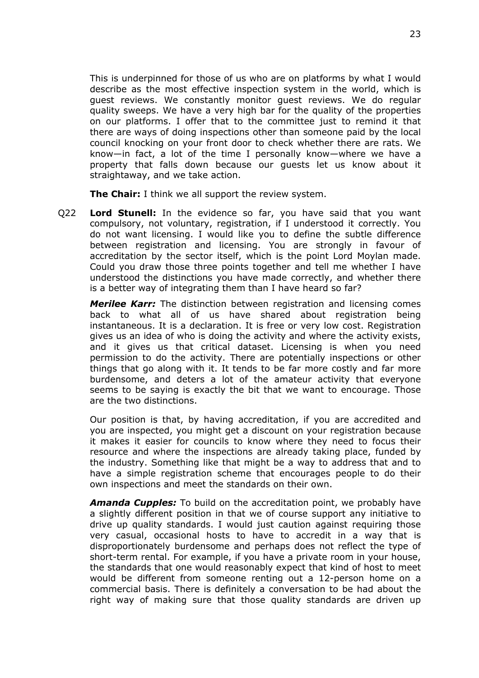This is underpinned for those of us who are on platforms by what I would describe as the most effective inspection system in the world, which is guest reviews. We constantly monitor guest reviews. We do regular quality sweeps. We have a very high bar for the quality of the properties on our platforms. I offer that to the committee just to remind it that there are ways of doing inspections other than someone paid by the local council knocking on your front door to check whether there are rats. We know—in fact, a lot of the time I personally know—where we have a property that falls down because our guests let us know about it straightaway, and we take action.

**The Chair:** I think we all support the review system.

Q22 **Lord Stunell:** In the evidence so far, you have said that you want compulsory, not voluntary, registration, if I understood it correctly. You do not want licensing. I would like you to define the subtle difference between registration and licensing. You are strongly in favour of accreditation by the sector itself, which is the point Lord Moylan made. Could you draw those three points together and tell me whether I have understood the distinctions you have made correctly, and whether there is a better way of integrating them than I have heard so far?

*Merilee Karr:* The distinction between registration and licensing comes back to what all of us have shared about registration being instantaneous. It is a declaration. It is free or very low cost. Registration gives us an idea of who is doing the activity and where the activity exists, and it gives us that critical dataset. Licensing is when you need permission to do the activity. There are potentially inspections or other things that go along with it. It tends to be far more costly and far more burdensome, and deters a lot of the amateur activity that everyone seems to be saying is exactly the bit that we want to encourage. Those are the two distinctions.

Our position is that, by having accreditation, if you are accredited and you are inspected, you might get a discount on your registration because it makes it easier for councils to know where they need to focus their resource and where the inspections are already taking place, funded by the industry. Something like that might be a way to address that and to have a simple registration scheme that encourages people to do their own inspections and meet the standards on their own.

*Amanda Cupples:* To build on the accreditation point, we probably have a slightly different position in that we of course support any initiative to drive up quality standards. I would just caution against requiring those very casual, occasional hosts to have to accredit in a way that is disproportionately burdensome and perhaps does not reflect the type of short-term rental. For example, if you have a private room in your house, the standards that one would reasonably expect that kind of host to meet would be different from someone renting out a 12-person home on a commercial basis. There is definitely a conversation to be had about the right way of making sure that those quality standards are driven up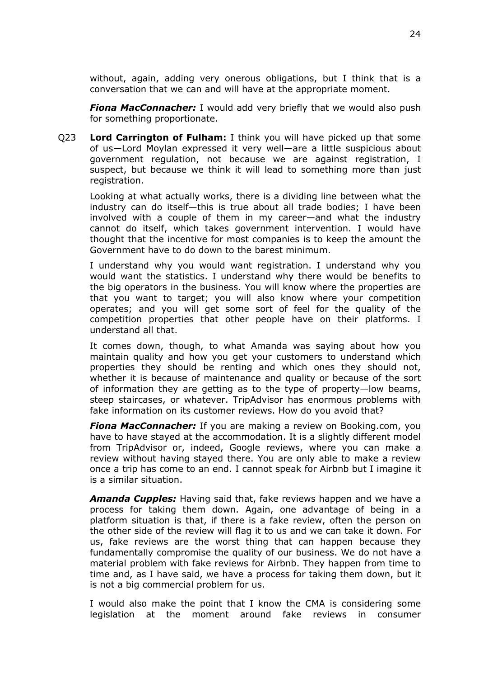without, again, adding very onerous obligations, but I think that is a conversation that we can and will have at the appropriate moment.

*Fiona MacConnacher:* I would add very briefly that we would also push for something proportionate.

Q23 **Lord Carrington of Fulham:** I think you will have picked up that some of us—Lord Moylan expressed it very well—are a little suspicious about government regulation, not because we are against registration, I suspect, but because we think it will lead to something more than just registration.

Looking at what actually works, there is a dividing line between what the industry can do itself—this is true about all trade bodies; I have been involved with a couple of them in my career—and what the industry cannot do itself, which takes government intervention. I would have thought that the incentive for most companies is to keep the amount the Government have to do down to the barest minimum.

I understand why you would want registration. I understand why you would want the statistics. I understand why there would be benefits to the big operators in the business. You will know where the properties are that you want to target; you will also know where your competition operates; and you will get some sort of feel for the quality of the competition properties that other people have on their platforms. I understand all that.

It comes down, though, to what Amanda was saying about how you maintain quality and how you get your customers to understand which properties they should be renting and which ones they should not, whether it is because of maintenance and quality or because of the sort of information they are getting as to the type of property—low beams, steep staircases, or whatever. TripAdvisor has enormous problems with fake information on its customer reviews. How do you avoid that?

*Fiona MacConnacher:* If you are making a review on Booking.com, you have to have stayed at the accommodation. It is a slightly different model from TripAdvisor or, indeed, Google reviews, where you can make a review without having stayed there. You are only able to make a review once a trip has come to an end. I cannot speak for Airbnb but I imagine it is a similar situation.

*Amanda Cupples:* Having said that, fake reviews happen and we have a process for taking them down. Again, one advantage of being in a platform situation is that, if there is a fake review, often the person on the other side of the review will flag it to us and we can take it down. For us, fake reviews are the worst thing that can happen because they fundamentally compromise the quality of our business. We do not have a material problem with fake reviews for Airbnb. They happen from time to time and, as I have said, we have a process for taking them down, but it is not a big commercial problem for us.

I would also make the point that I know the CMA is considering some legislation at the moment around fake reviews in consumer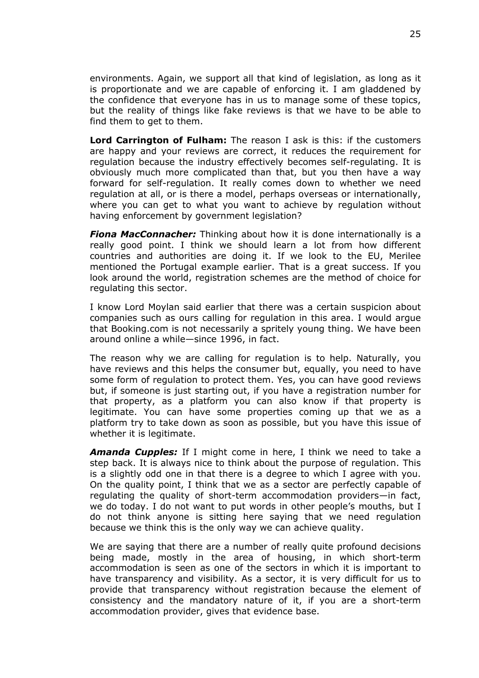environments. Again, we support all that kind of legislation, as long as it is proportionate and we are capable of enforcing it. I am gladdened by the confidence that everyone has in us to manage some of these topics, but the reality of things like fake reviews is that we have to be able to find them to get to them.

**Lord Carrington of Fulham:** The reason I ask is this: if the customers are happy and your reviews are correct, it reduces the requirement for regulation because the industry effectively becomes self-regulating. It is obviously much more complicated than that, but you then have a way forward for self-regulation. It really comes down to whether we need regulation at all, or is there a model, perhaps overseas or internationally, where you can get to what you want to achieve by regulation without having enforcement by government legislation?

*Fiona MacConnacher:* Thinking about how it is done internationally is a really good point. I think we should learn a lot from how different countries and authorities are doing it. If we look to the EU, Merilee mentioned the Portugal example earlier. That is a great success. If you look around the world, registration schemes are the method of choice for regulating this sector.

I know Lord Moylan said earlier that there was a certain suspicion about companies such as ours calling for regulation in this area. I would argue that Booking.com is not necessarily a spritely young thing. We have been around online a while—since 1996, in fact.

The reason why we are calling for regulation is to help. Naturally, you have reviews and this helps the consumer but, equally, you need to have some form of regulation to protect them. Yes, you can have good reviews but, if someone is just starting out, if you have a registration number for that property, as a platform you can also know if that property is legitimate. You can have some properties coming up that we as a platform try to take down as soon as possible, but you have this issue of whether it is legitimate.

*Amanda Cupples:* If I might come in here, I think we need to take a step back. It is always nice to think about the purpose of regulation. This is a slightly odd one in that there is a degree to which I agree with you. On the quality point, I think that we as a sector are perfectly capable of regulating the quality of short-term accommodation providers—in fact, we do today. I do not want to put words in other people's mouths, but I do not think anyone is sitting here saying that we need regulation because we think this is the only way we can achieve quality.

We are saying that there are a number of really quite profound decisions being made, mostly in the area of housing, in which short-term accommodation is seen as one of the sectors in which it is important to have transparency and visibility. As a sector, it is very difficult for us to provide that transparency without registration because the element of consistency and the mandatory nature of it, if you are a short-term accommodation provider, gives that evidence base.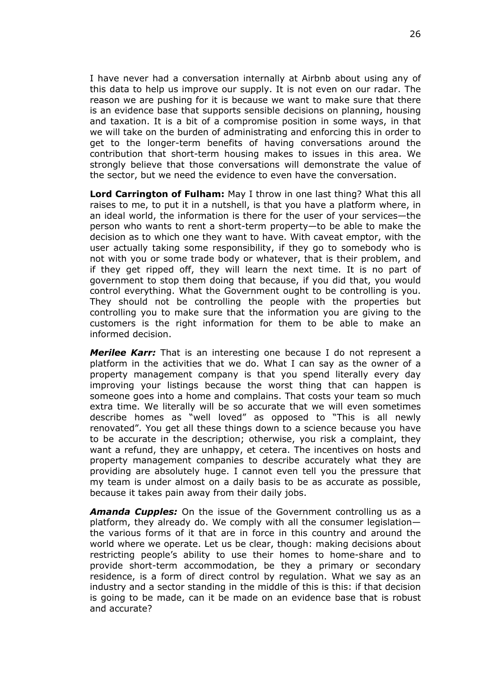I have never had a conversation internally at Airbnb about using any of this data to help us improve our supply. It is not even on our radar. The reason we are pushing for it is because we want to make sure that there is an evidence base that supports sensible decisions on planning, housing and taxation. It is a bit of a compromise position in some ways, in that we will take on the burden of administrating and enforcing this in order to get to the longer-term benefits of having conversations around the contribution that short-term housing makes to issues in this area. We strongly believe that those conversations will demonstrate the value of the sector, but we need the evidence to even have the conversation.

**Lord Carrington of Fulham:** May I throw in one last thing? What this all raises to me, to put it in a nutshell, is that you have a platform where, in an ideal world, the information is there for the user of your services—the person who wants to rent a short-term property—to be able to make the decision as to which one they want to have. With caveat emptor, with the user actually taking some responsibility, if they go to somebody who is not with you or some trade body or whatever, that is their problem, and if they get ripped off, they will learn the next time. It is no part of government to stop them doing that because, if you did that, you would control everything. What the Government ought to be controlling is you. They should not be controlling the people with the properties but controlling you to make sure that the information you are giving to the customers is the right information for them to be able to make an informed decision.

*Merilee Karr:* That is an interesting one because I do not represent a platform in the activities that we do. What I can say as the owner of a property management company is that you spend literally every day improving your listings because the worst thing that can happen is someone goes into a home and complains. That costs your team so much extra time. We literally will be so accurate that we will even sometimes describe homes as "well loved" as opposed to "This is all newly renovated". You get all these things down to a science because you have to be accurate in the description; otherwise, you risk a complaint, they want a refund, they are unhappy, et cetera. The incentives on hosts and property management companies to describe accurately what they are providing are absolutely huge. I cannot even tell you the pressure that my team is under almost on a daily basis to be as accurate as possible, because it takes pain away from their daily jobs.

*Amanda Cupples:* On the issue of the Government controlling us as a platform, they already do. We comply with all the consumer legislation the various forms of it that are in force in this country and around the world where we operate. Let us be clear, though: making decisions about restricting people's ability to use their homes to home-share and to provide short-term accommodation, be they a primary or secondary residence, is a form of direct control by regulation. What we say as an industry and a sector standing in the middle of this is this: if that decision is going to be made, can it be made on an evidence base that is robust and accurate?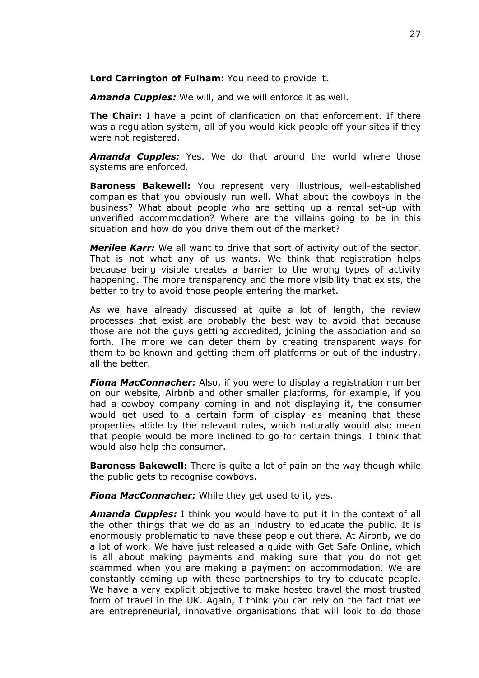**Lord Carrington of Fulham:** You need to provide it.

*Amanda Cupples:* We will, and we will enforce it as well.

**The Chair:** I have a point of clarification on that enforcement. If there was a regulation system, all of you would kick people off your sites if they were not registered.

*Amanda Cupples:* Yes. We do that around the world where those systems are enforced.

**Baroness Bakewell:** You represent very illustrious, well-established companies that you obviously run well. What about the cowboys in the business? What about people who are setting up a rental set-up with unverified accommodation? Where are the villains going to be in this situation and how do you drive them out of the market?

*Merilee Karr:* We all want to drive that sort of activity out of the sector. That is not what any of us wants. We think that registration helps because being visible creates a barrier to the wrong types of activity happening. The more transparency and the more visibility that exists, the better to try to avoid those people entering the market.

As we have already discussed at quite a lot of length, the review processes that exist are probably the best way to avoid that because those are not the guys getting accredited, joining the association and so forth. The more we can deter them by creating transparent ways for them to be known and getting them off platforms or out of the industry, all the better.

*Fiona MacConnacher:* Also, if you were to display a registration number on our website, Airbnb and other smaller platforms, for example, if you had a cowboy company coming in and not displaying it, the consumer would get used to a certain form of display as meaning that these properties abide by the relevant rules, which naturally would also mean that people would be more inclined to go for certain things. I think that would also help the consumer.

**Baroness Bakewell:** There is quite a lot of pain on the way though while the public gets to recognise cowboys.

*Fiona MacConnacher:* While they get used to it, yes.

*Amanda Cupples:* I think you would have to put it in the context of all the other things that we do as an industry to educate the public. It is enormously problematic to have these people out there. At Airbnb, we do a lot of work. We have just released a guide with Get Safe Online, which is all about making payments and making sure that you do not get scammed when you are making a payment on accommodation. We are constantly coming up with these partnerships to try to educate people. We have a very explicit objective to make hosted travel the most trusted form of travel in the UK. Again, I think you can rely on the fact that we are entrepreneurial, innovative organisations that will look to do those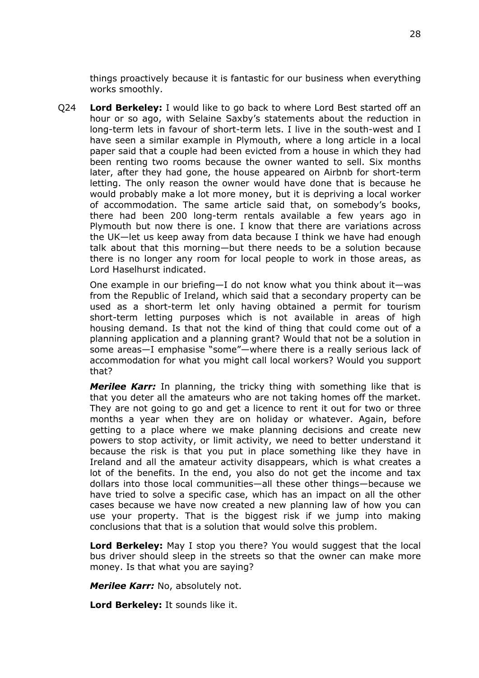things proactively because it is fantastic for our business when everything works smoothly.

Q24 **Lord Berkeley:** I would like to go back to where Lord Best started off an hour or so ago, with Selaine Saxby's statements about the reduction in long-term lets in favour of short-term lets. I live in the south-west and I have seen a similar example in Plymouth, where a long article in a local paper said that a couple had been evicted from a house in which they had been renting two rooms because the owner wanted to sell. Six months later, after they had gone, the house appeared on Airbnb for short-term letting. The only reason the owner would have done that is because he would probably make a lot more money, but it is depriving a local worker of accommodation. The same article said that, on somebody's books, there had been 200 long-term rentals available a few years ago in Plymouth but now there is one. I know that there are variations across the UK—let us keep away from data because I think we have had enough talk about that this morning—but there needs to be a solution because there is no longer any room for local people to work in those areas, as Lord Haselhurst indicated.

One example in our briefing—I do not know what you think about it—was from the Republic of Ireland, which said that a secondary property can be used as a short-term let only having obtained a permit for tourism short-term letting purposes which is not available in areas of high housing demand. Is that not the kind of thing that could come out of a planning application and a planning grant? Would that not be a solution in some areas—I emphasise "some"—where there is a really serious lack of accommodation for what you might call local workers? Would you support that?

*Merilee Karr:* In planning, the tricky thing with something like that is that you deter all the amateurs who are not taking homes off the market. They are not going to go and get a licence to rent it out for two or three months a year when they are on holiday or whatever. Again, before getting to a place where we make planning decisions and create new powers to stop activity, or limit activity, we need to better understand it because the risk is that you put in place something like they have in Ireland and all the amateur activity disappears, which is what creates a lot of the benefits. In the end, you also do not get the income and tax dollars into those local communities—all these other things—because we have tried to solve a specific case, which has an impact on all the other cases because we have now created a new planning law of how you can use your property. That is the biggest risk if we jump into making conclusions that that is a solution that would solve this problem.

**Lord Berkeley:** May I stop you there? You would suggest that the local bus driver should sleep in the streets so that the owner can make more money. Is that what you are saying?

*Merilee Karr:* No, absolutely not.

**Lord Berkeley:** It sounds like it.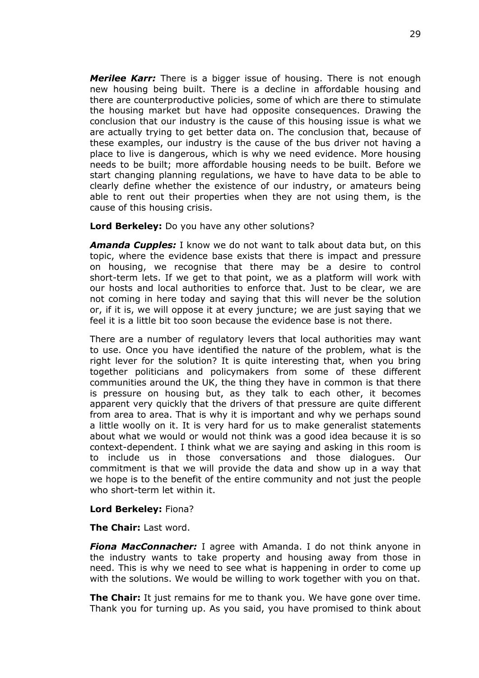*Merilee Karr:* There is a bigger issue of housing. There is not enough new housing being built. There is a decline in affordable housing and there are counterproductive policies, some of which are there to stimulate the housing market but have had opposite consequences. Drawing the conclusion that our industry is the cause of this housing issue is what we are actually trying to get better data on. The conclusion that, because of these examples, our industry is the cause of the bus driver not having a place to live is dangerous, which is why we need evidence. More housing needs to be built; more affordable housing needs to be built. Before we start changing planning regulations, we have to have data to be able to clearly define whether the existence of our industry, or amateurs being able to rent out their properties when they are not using them, is the cause of this housing crisis.

**Lord Berkeley:** Do you have any other solutions?

*Amanda Cupples:* I know we do not want to talk about data but, on this topic, where the evidence base exists that there is impact and pressure on housing, we recognise that there may be a desire to control short-term lets. If we get to that point, we as a platform will work with our hosts and local authorities to enforce that. Just to be clear, we are not coming in here today and saying that this will never be the solution or, if it is, we will oppose it at every juncture; we are just saying that we feel it is a little bit too soon because the evidence base is not there.

There are a number of regulatory levers that local authorities may want to use. Once you have identified the nature of the problem, what is the right lever for the solution? It is quite interesting that, when you bring together politicians and policymakers from some of these different communities around the UK, the thing they have in common is that there is pressure on housing but, as they talk to each other, it becomes apparent very quickly that the drivers of that pressure are quite different from area to area. That is why it is important and why we perhaps sound a little woolly on it. It is very hard for us to make generalist statements about what we would or would not think was a good idea because it is so context-dependent. I think what we are saying and asking in this room is to include us in those conversations and those dialogues. Our commitment is that we will provide the data and show up in a way that we hope is to the benefit of the entire community and not just the people who short-term let within it.

#### **Lord Berkeley:** Fiona?

**The Chair:** Last word.

*Fiona MacConnacher:* I agree with Amanda. I do not think anyone in the industry wants to take property and housing away from those in need. This is why we need to see what is happening in order to come up with the solutions. We would be willing to work together with you on that.

**The Chair:** It just remains for me to thank you. We have gone over time. Thank you for turning up. As you said, you have promised to think about